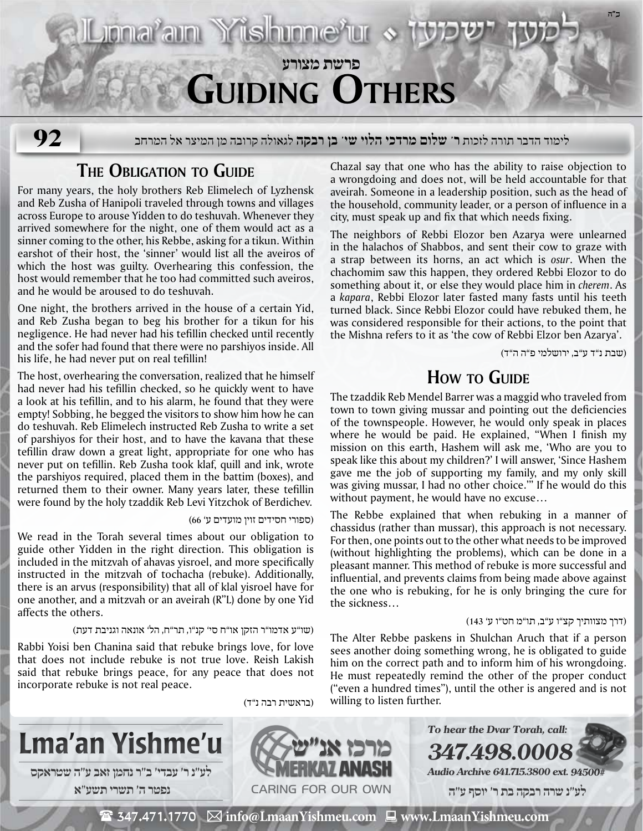

Jonařam Yüshme<sup>r</sup>ur «

לימוד הדבר תורה לזכות **ר' שלום מרדכי הלוי שי' בן רבקה** לגאולה קרובה מן המיצר אל המרחב

# **The Obligation to Guide**

**92**

For many years, the holy brothers Reb Elimelech of Lyzhensk and Reb Zusha of Hanipoli traveled through towns and villages across Europe to arouse Yidden to do teshuvah. Whenever they arrived somewhere for the night, one of them would act as a sinner coming to the other, his Rebbe, asking for a tikun. Within earshot of their host, the 'sinner' would list all the aveiros of which the host was guilty. Overhearing this confession, the host would remember that he too had committed such aveiros, and he would be aroused to do teshuvah.

One night, the brothers arrived in the house of a certain Yid, and Reb Zusha began to beg his brother for a tikun for his negligence. He had never had his tefillin checked until recently and the sofer had found that there were no parshiyos inside. All his life, he had never put on real tefillin!

The host, overhearing the conversation, realized that he himself had never had his tefillin checked, so he quickly went to have a look at his tefillin, and to his alarm, he found that they were empty! Sobbing, he begged the visitors to show him how he can do teshuvah. Reb Elimelech instructed Reb Zusha to write a set of parshiyos for their host, and to have the kavana that these tefillin draw down a great light, appropriate for one who has never put on tefillin. Reb Zusha took klaf, quill and ink, wrote the parshiyos required, placed them in the battim (boxes), and returned them to their owner. Many years later, these tefillin were found by the holy tzaddik Reb Levi Yitzchok of Berdichev.

(ספורי חסידים זוין מועדים ע' 66)

We read in the Torah several times about our obligation to guide other Yidden in the right direction. This obligation is included in the mitzvah of ahavas yisroel, and more specifically instructed in the mitzvah of tochacha (rebuke). Additionally, there is an arvus (responsibility) that all of klal yisroel have for one another, and a mitzvah or an aveirah (R"L) done by one Yid affects the others.

(שו"ע אדמו"ר הזקן או"ח סי' קנ"ו, תר"ח, הל' אונאה וגניבת דעת)

Rabbi Yoisi ben Chanina said that rebuke brings love, for love that does not include rebuke is not true love. Reish Lakish said that rebuke brings peace, for any peace that does not incorporate rebuke is not real peace.

(בראשית רבה נ"ד)

Chazal say that one who has the ability to raise objection to a wrongdoing and does not, will be held accountable for that aveirah. Someone in a leadership position, such as the head of the household, community leader, or a person of influence in a city, must speak up and fix that which needs fixing.

The neighbors of Rebbi Elozor ben Azarya were unlearned in the halachos of Shabbos, and sent their cow to graze with a strap between its horns, an act which is *osur*. When the chachomim saw this happen, they ordered Rebbi Elozor to do something about it, or else they would place him in *cherem*. As a *kapara*, Rebbi Elozor later fasted many fasts until his teeth turned black. Since Rebbi Elozor could have rebuked them, he was considered responsible for their actions, to the point that the Mishna refers to it as 'the cow of Rebbi Elzor ben Azarya'.

(שבת נ"ד ע"ב, ירושלמי פ"ה ה"ד)

**ב"ה**

# **How ro Guide**

The tzaddik Reb Mendel Barrer was a maggid who traveled from town to town giving mussar and pointing out the deficiencies of the townspeople. However, he would only speak in places where he would be paid. He explained, "When I finish my mission on this earth, Hashem will ask me, 'Who are you to speak like this about my children?' I will answer, 'Since Hashem gave me the job of supporting my family, and my only skill was giving mussar, I had no other choice.'" If he would do this without payment, he would have no excuse…

The Rebbe explained that when rebuking in a manner of chassidus (rather than mussar), this approach is not necessary. For then, one points out to the other what needs to be improved (without highlighting the problems), which can be done in a pleasant manner. This method of rebuke is more successful and influential, and prevents claims from being made above against the one who is rebuking, for he is only bringing the cure for the sickness…

#### (דרך מצוותיך קצ"ו ע"ב, תו"מ חט"ו ע' 143)

The Alter Rebbe paskens in Shulchan Aruch that if a person sees another doing something wrong, he is obligated to guide him on the correct path and to inform him of his wrongdoing. He must repeatedly remind the other of the proper conduct ("even a hundred times"), until the other is angered and is not willing to listen further.



 $**$\mathbb{\widehat{E}}$  347.471.1770  $\,\boxtimes\,$  info@LmaanYishmeu.com  $\,\blacksquare\,$  www.LmaanYishmeu.com**$